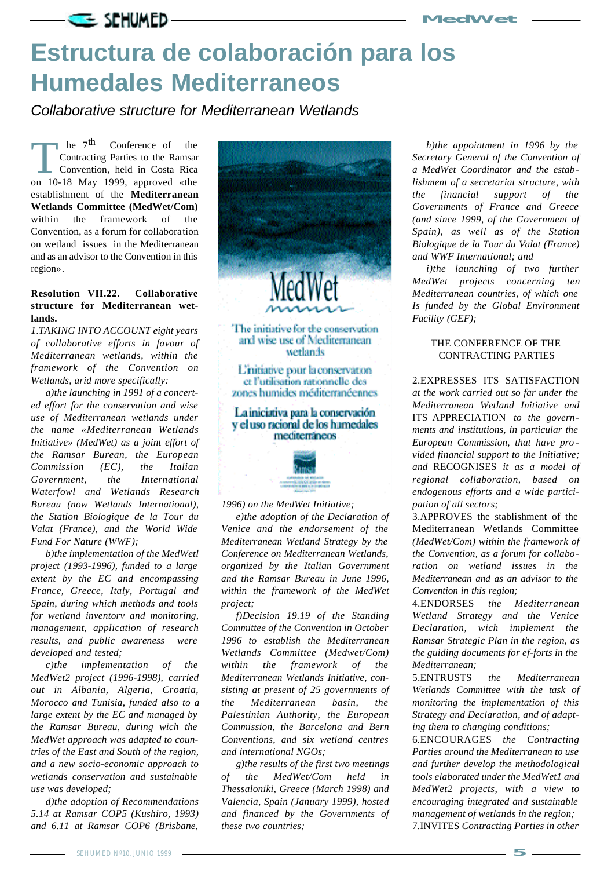

## **Estructura de colaboración para los Humedales Mediterraneos**

*Collaborative structure for Mediterranean Wetlands*

The 7<sup>th</sup> Conference of the Contracting Parties to the Ramsan<br>Convention, held in Costa Rica<br>on 10-18 May 1999, approved «the  $he$  7<sup>th</sup> Conference of the Contracting Parties to the Ramsar Convention, held in Costa Rica establishment of the **Mediterranean Wetlands Committee (MedWet/Com)** within the framework of the Convention, as a forum for collaboration on wetland issues in the Mediterranean and as an advisor to the Convention in this region».

## **Resolution VII.22. Collaborative structure for Mediterranean wetlands.**

*1.TAKING INTO ACCOUNT eight years of collaborative efforts in favour of Mediterranean wetlands, within the framework of the Convention on Wetlands, arid more specifically:*

*a)the launching in 1991 of a concerted effort for the conservation and wise use of Mediterranean wetlands under the name «Mediterranean Wetlands Initiative» (MedWet) as a joint effort of the Ramsar Burean, the European Commission (EC), the Italian Government, the International Waterfowl and Wetlands Research Bureau (now Wetlands International), the Station Biologique de la Tour du Valat (France), and the World Wide Fund For Nature (WWF);*

*b)the implementation of the MedWetl project (1993-1996), funded to a large extent by the EC and encompassing France, Greece, Italy, Portugal and Spain, during which methods and tools for wetland inventorv and monitoring, management, application of research results, and public awareness were developed and tested;*

*c)the implementation of the MedWet2 project (1996-1998), carried out in Albania, Algeria, Croatia, Morocco and Tunisia, funded also to a large extent by the EC and managed by the Ramsar Bureau, during wich the MedWet approach was adapted to countries of the East and South of the region, and a new socio-economic approach to wetlands conservation and sustainable use was developed;*

*d)the adoption of Recommendations 5.14 at Ramsar COP5 (Kushiro, 1993) and 6.11 at Ramsar COP6 (Brisbane,*



*sisting at present of 25 governments of the Mediterranean basin, the Palestinian Authority, the European Commission, the Barcelona and Bern Conventions, and six wetland centres and international NGOs;*

*g)the results of the first two meetings of the MedWet/Com held in Thessaloniki, Greece (March 1998) and Valencia, Spain (January 1999), hosted and financed by the Governments of these two countries;*

*h)the appointment in 1996 by the Secretary General of the Convention of a MedWet Coordinator and the establishment of a secretariat structure, with the financial support of the Governments of France and Greece (and since 1999, of the Government of Spain), as well as of the Station Biologique de la Tour du Valat (France) and WWF International; and* 

*i)the launching of two further MedWet projects concerning ten Mediterranean countries, of which one Is funded by the Global Environment Facility (GEF);*

## THE CONFERENCE OF THE CONTRACTING PARTIES

2.EXPRESSES ITS SATISFACTION

*at the work carried out so far under the Mediterranean Wetland Initiative and* ITS APPRECIATION *to the governments and instítutions, in particular the European Commission, that have pro vided financial support to the Initiative; and* RECOGNISES *it as a model of regional collaboration, based on endogenous efforts and a wide participation of all sectors;*

3.APPROVES the stablishment of the Mediterranean Wetlands Committee *(MedWet/Com) within the framework of the Convention, as a forum for collaboration on wetland issues in the Mediterranean and as an advisor to the Convention in this region;*

4.ENDORSES *the Mediterranean Wetland Strategy and the Venice Declaration, wich implement the Ramsar Strategic Plan in the region, as the guiding documents for ef-forts in the Mediterranean;*

5.ENTRUSTS *the Mediterranean Wetlands Committee with the task of monitoring the implementation of this Strategy and Declaration, and of adapting them to changing conditions;*

6.ENCOURAGES *the Contracting Parties around the Mediterranean to use and further develop the methodological tools elaborated under the MedWet1 and MedWet2 projects, with a view to encouraging integrated and sustainable management of wetlands in the region;* 7.INVITES *Contracting Parties in other*